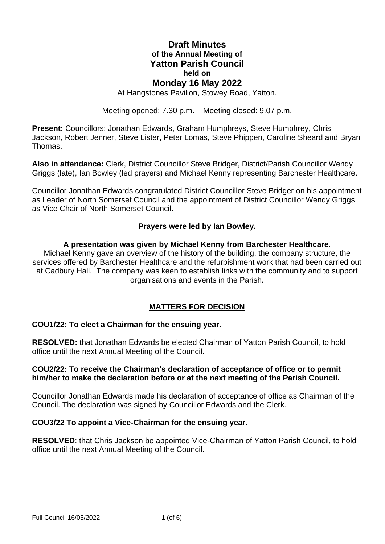# **Draft Minutes of the Annual Meeting of Yatton Parish Council held on Monday 16 May 2022**

At Hangstones Pavilion, Stowey Road, Yatton.

Meeting opened: 7.30 p.m. Meeting closed: 9.07 p.m.

**Present:** Councillors: Jonathan Edwards, Graham Humphreys, Steve Humphrey, Chris Jackson, Robert Jenner, Steve Lister, Peter Lomas, Steve Phippen, Caroline Sheard and Bryan Thomas.

**Also in attendance:** Clerk, District Councillor Steve Bridger, District/Parish Councillor Wendy Griggs (late), Ian Bowley (led prayers) and Michael Kenny representing Barchester Healthcare.

Councillor Jonathan Edwards congratulated District Councillor Steve Bridger on his appointment as Leader of North Somerset Council and the appointment of District Councillor Wendy Griggs as Vice Chair of North Somerset Council.

#### **Prayers were led by Ian Bowley.**

#### **A presentation was given by Michael Kenny from Barchester Healthcare.**

Michael Kenny gave an overview of the history of the building, the company structure, the services offered by Barchester Healthcare and the refurbishment work that had been carried out at Cadbury Hall. The company was keen to establish links with the community and to support organisations and events in the Parish.

### **MATTERS FOR DECISION**

#### **COU1/22: To elect a Chairman for the ensuing year.**

**RESOLVED:** that Jonathan Edwards be elected Chairman of Yatton Parish Council, to hold office until the next Annual Meeting of the Council.

#### **COU2/22: To receive the Chairman's declaration of acceptance of office or to permit him/her to make the declaration before or at the next meeting of the Parish Council.**

Councillor Jonathan Edwards made his declaration of acceptance of office as Chairman of the Council. The declaration was signed by Councillor Edwards and the Clerk.

### **COU3/22 To appoint a Vice-Chairman for the ensuing year.**

**RESOLVED**: that Chris Jackson be appointed Vice-Chairman of Yatton Parish Council, to hold office until the next Annual Meeting of the Council.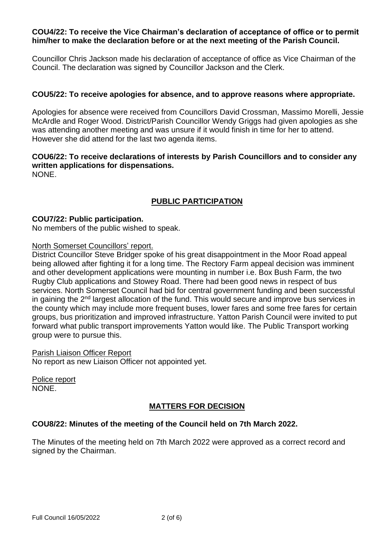### **COU4/22: To receive the Vice Chairman's declaration of acceptance of office or to permit him/her to make the declaration before or at the next meeting of the Parish Council.**

Councillor Chris Jackson made his declaration of acceptance of office as Vice Chairman of the Council. The declaration was signed by Councillor Jackson and the Clerk.

### **COU5/22: To receive apologies for absence, and to approve reasons where appropriate.**

Apologies for absence were received from Councillors David Crossman, Massimo Morelli, Jessie McArdle and Roger Wood. District/Parish Councillor Wendy Griggs had given apologies as she was attending another meeting and was unsure if it would finish in time for her to attend. However she did attend for the last two agenda items.

# **COU6/22: To receive declarations of interests by Parish Councillors and to consider any written applications for dispensations.**

NONE.

# **PUBLIC PARTICIPATION**

### **COU7/22: Public participation.**

No members of the public wished to speak.

#### North Somerset Councillors' report.

District Councillor Steve Bridger spoke of his great disappointment in the Moor Road appeal being allowed after fighting it for a long time. The Rectory Farm appeal decision was imminent and other development applications were mounting in number i.e. Box Bush Farm, the two Rugby Club applications and Stowey Road. There had been good news in respect of bus services. North Somerset Council had bid for central government funding and been successful in gaining the 2<sup>nd</sup> largest allocation of the fund. This would secure and improve bus services in the county which may include more frequent buses, lower fares and some free fares for certain groups, bus prioritization and improved infrastructure. Yatton Parish Council were invited to put forward what public transport improvements Yatton would like. The Public Transport working group were to pursue this.

#### Parish Liaison Officer Report

No report as new Liaison Officer not appointed yet.

Police report NONE.

### **MATTERS FOR DECISION**

### **COU8/22: Minutes of the meeting of the Council held on 7th March 2022.**

The Minutes of the meeting held on 7th March 2022 were approved as a correct record and signed by the Chairman.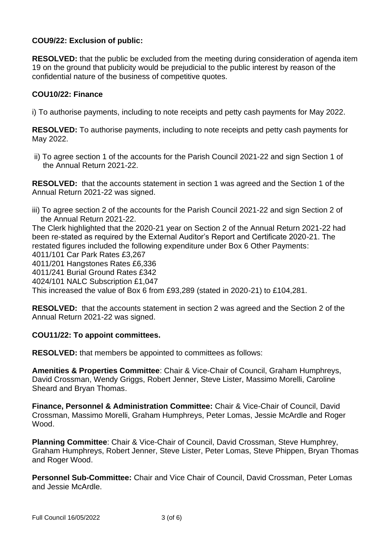# **COU9/22: Exclusion of public:**

**RESOLVED:** that the public be excluded from the meeting during consideration of agenda item 19 on the ground that publicity would be prejudicial to the public interest by reason of the confidential nature of the business of competitive quotes.

#### **COU10/22: Finance**

i) To authorise payments, including to note receipts and petty cash payments for May 2022.

**RESOLVED:** To authorise payments, including to note receipts and petty cash payments for May 2022.

ii) To agree section 1 of the accounts for the Parish Council 2021-22 and sign Section 1 of the Annual Return 2021-22.

**RESOLVED:** that the accounts statement in section 1 was agreed and the Section 1 of the Annual Return 2021-22 was signed.

iii) To agree section 2 of the accounts for the Parish Council 2021-22 and sign Section 2 of the Annual Return 2021-22. The Clerk highlighted that the 2020-21 year on Section 2 of the Annual Return 2021-22 had been re-stated as required by the External Auditor's Report and Certificate 2020-21. The restated figures included the following expenditure under Box 6 Other Payments: 4011/101 Car Park Rates £3,267 4011/201 Hangstones Rates £6,336 4011/241 Burial Ground Rates £342 4024/101 NALC Subscription £1,047 This increased the value of Box 6 from £93,289 (stated in 2020-21) to £104,281.

**RESOLVED:** that the accounts statement in section 2 was agreed and the Section 2 of the Annual Return 2021-22 was signed.

#### **COU11/22: To appoint committees.**

**RESOLVED:** that members be appointed to committees as follows:

**Amenities & Properties Committee**: Chair & Vice-Chair of Council, Graham Humphreys, David Crossman, Wendy Griggs, Robert Jenner, Steve Lister, Massimo Morelli, Caroline Sheard and Bryan Thomas.

**Finance, Personnel & Administration Committee:** Chair & Vice-Chair of Council, David Crossman, Massimo Morelli, Graham Humphreys, Peter Lomas, Jessie McArdle and Roger Wood.

**Planning Committee**: Chair & Vice-Chair of Council, David Crossman, Steve Humphrey, Graham Humphreys, Robert Jenner, Steve Lister, Peter Lomas, Steve Phippen, Bryan Thomas and Roger Wood.

**Personnel Sub-Committee:** Chair and Vice Chair of Council, David Crossman, Peter Lomas and Jessie McArdle.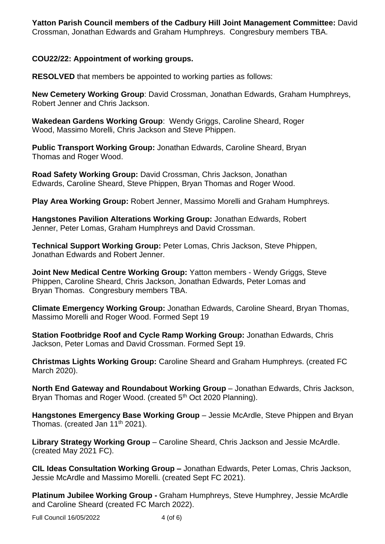**Yatton Parish Council members of the Cadbury Hill Joint Management Committee:** David Crossman, Jonathan Edwards and Graham Humphreys. Congresbury members TBA.

### **COU22/22: Appointment of working groups.**

**RESOLVED** that members be appointed to working parties as follows:

**New Cemetery Working Group**: David Crossman, Jonathan Edwards, Graham Humphreys, Robert Jenner and Chris Jackson.

**Wakedean Gardens Working Group**: Wendy Griggs, Caroline Sheard, Roger Wood, Massimo Morelli, Chris Jackson and Steve Phippen.

**Public Transport Working Group:** Jonathan Edwards, Caroline Sheard, Bryan Thomas and Roger Wood.

**Road Safety Working Group:** David Crossman, Chris Jackson, Jonathan Edwards, Caroline Sheard, Steve Phippen, Bryan Thomas and Roger Wood.

**Play Area Working Group:** Robert Jenner, Massimo Morelli and Graham Humphreys.

**Hangstones Pavilion Alterations Working Group:** Jonathan Edwards, Robert Jenner, Peter Lomas, Graham Humphreys and David Crossman.

**Technical Support Working Group:** Peter Lomas, Chris Jackson, Steve Phippen, Jonathan Edwards and Robert Jenner.

**Joint New Medical Centre Working Group:** Yatton members - Wendy Griggs, Steve Phippen, Caroline Sheard, Chris Jackson, Jonathan Edwards, Peter Lomas and Bryan Thomas. Congresbury members TBA.

**Climate Emergency Working Group:** Jonathan Edwards, Caroline Sheard, Bryan Thomas, Massimo Morelli and Roger Wood. Formed Sept 19

**Station Footbridge Roof and Cycle Ramp Working Group:** Jonathan Edwards, Chris Jackson, Peter Lomas and David Crossman. Formed Sept 19.

**Christmas Lights Working Group:** Caroline Sheard and Graham Humphreys. (created FC March 2020).

**North End Gateway and Roundabout Working Group** – Jonathan Edwards, Chris Jackson, Bryan Thomas and Roger Wood. (created 5<sup>th</sup> Oct 2020 Planning).

**Hangstones Emergency Base Working Group** – Jessie McArdle, Steve Phippen and Bryan Thomas. (created Jan  $11<sup>th</sup> 2021$ ).

**Library Strategy Working Group** – Caroline Sheard, Chris Jackson and Jessie McArdle. (created May 2021 FC).

**CIL Ideas Consultation Working Group –** Jonathan Edwards, Peter Lomas, Chris Jackson, Jessie McArdle and Massimo Morelli. (created Sept FC 2021).

**Platinum Jubilee Working Group -** Graham Humphreys, Steve Humphrey, Jessie McArdle and Caroline Sheard (created FC March 2022).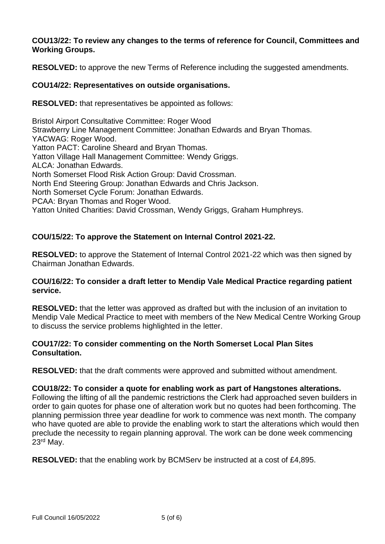### **COU13/22: To review any changes to the terms of reference for Council, Committees and Working Groups.**

**RESOLVED:** to approve the new Terms of Reference including the suggested amendments.

### **COU14/22: Representatives on outside organisations.**

**RESOLVED:** that representatives be appointed as follows:

Bristol Airport Consultative Committee: Roger Wood Strawberry Line Management Committee: Jonathan Edwards and Bryan Thomas. YACWAG: Roger Wood. Yatton PACT: Caroline Sheard and Bryan Thomas. Yatton Village Hall Management Committee: Wendy Griggs. ALCA: Jonathan Edwards. North Somerset Flood Risk Action Group: David Crossman. North End Steering Group: Jonathan Edwards and Chris Jackson. North Somerset Cycle Forum: Jonathan Edwards. PCAA: Bryan Thomas and Roger Wood. Yatton United Charities: David Crossman, Wendy Griggs, Graham Humphreys.

# **COU/15/22: To approve the Statement on Internal Control 2021-22.**

**RESOLVED:** to approve the Statement of Internal Control 2021-22 which was then signed by Chairman Jonathan Edwards.

### **COU/16/22: To consider a draft letter to Mendip Vale Medical Practice regarding patient service.**

**RESOLVED:** that the letter was approved as drafted but with the inclusion of an invitation to Mendip Vale Medical Practice to meet with members of the New Medical Centre Working Group to discuss the service problems highlighted in the letter.

### **COU17/22: To consider commenting on the North Somerset Local Plan Sites Consultation.**

**RESOLVED:** that the draft comments were approved and submitted without amendment.

### **COU18/22: To consider a quote for enabling work as part of Hangstones alterations.**

Following the lifting of all the pandemic restrictions the Clerk had approached seven builders in order to gain quotes for phase one of alteration work but no quotes had been forthcoming. The planning permission three year deadline for work to commence was next month. The company who have quoted are able to provide the enabling work to start the alterations which would then preclude the necessity to regain planning approval. The work can be done week commencing 23rd May.

**RESOLVED:** that the enabling work by BCMServ be instructed at a cost of £4,895.